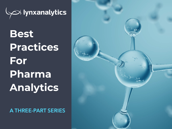

**Best Practices For Pharma Analytics** 

**A THREE-PART SERIES**

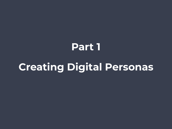# **Part 1 Creating Digital Personas**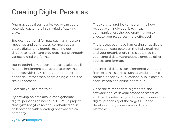## Creating Digital Personas

Pharmaceutical companies today can court potential customers in a myriad of exciting ways.

Besides traditional formats such as in-person meetings and congresses, companies can create digital-only brands, reaching out directly to healthcare providers (HCPs) through various digital platforms.

But to optimise your commercial results, you'll need to implement a targeted strategy that connects with HCPs through their preferred channels – rather than adopt a single, one-sizefits-all approach.

How can you achieve this?

By drawing on data analytics to generate digital personas of individual HCPs – a project that Lynx Analytics recently embarked on in collaboration with a leading pharmaceutical company.

These digital profiles can determine how receptive an individual is to virtual communication, thereby enabling you to allocate your resources more effectively.

The process begins by harnessing all available interaction data between the individual HCP and your organisation. This is obtained from your central data warehouse, alongside other sources and formats.

The internal data is complemented with data from external sources such as graduation year, medical specialty, publications, public posts in social media and online behaviour.

Once the relevant data is gathered, the software applies several advanced statistical and machine-learning techniques to derive the digital propensity of the target HCP and develop affinity scores across different platforms.

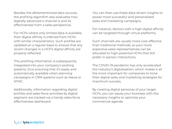Besides the aforementioned data sources, the profiling algorithm also evaluates how digitally advanced a channel is and its effectiveness from a sales perspective.

For HCPs where only limited data is available, their digital affinity is inferred from HCPs with similar characteristics. Such profiles are updated on a regular basis to ensure that any recent changes in a HCP's digital affinity are properly reflected.

This profiling information is subsequently integrated into your company's existing systems, thus ensuring that it's easily and automatically available when planning campaigns in CRM systems such as Veeva or SFMC.

Additionally, information regarding digital profiles and sales-force activities by digital segment are tracked via a handy sales-force effectiveness dashboard.

You can then use these data-driven insights to power more successful and personalised sales and marketing campaigns.

For instance, doctors with a high digital affinity can be targeted through virtual platforms.

Such channels are usually more cost-effective than traditional methods, so your more expensive sales representatives can be allocated to high-potential HCPs that still prefer in-person interactions.

The COVID-19 pandemic has only accelerated the industry's digitalisation, which makes it all the more important for companies to hone their digital sales and marketing strategies for maximum success.

By creating digital personas of your target HCPs, you can equip your business with the necessary insights to optimise your commercial agenda.

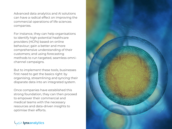Advanced data analytics and AI solutions can have a radical effect on improving the commercial operations of life sciences companies.

For instance, they can help organisations to identify high-potential healthcare providers (HCPs) based on online behaviour; gain a better and more comprehensive understanding of their customers; and using forecasting methods to run targeted, seamless omnichannel campaigns.

But to implement these tools, businesses first need to get the basics right: by organising, streamlining and syncing their disparate data into an integrated system.

Once companies have established this strong foundation, they can then proceed to empower their commercial and medical teams with the necessary resources and data-driven insights to optimise their efforts.



nxanalytics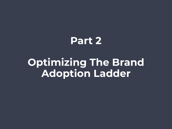## **Part 2**

# **Optimizing The Brand Adoption Ladder**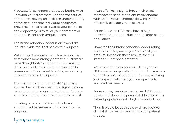A successful commercial strategy begins with knowing your customers. For pharmaceutical companies, having an in-depth understanding of the attitudes that individual healthcare providers (HCPs) have towards your products can empower you to tailor your commercial efforts to meet their unique needs.

The brand adoption ladder is an important industry-wide tool that serves this purpose.

Put simply, it is a systematic framework that determines how strongly potential customers have "bought into" your product by ranking them on a scale from being unaware of its presence on the market to acting as a strong advocate among their peers.

This can complement other HCP profiling approaches, such as creating a digital persona to ascertain their communication preferences and determining their prescription potential.

Locating where an HCP is on the brand adoption ladder serves a critical commercial purpose.

It can offer key insights into which exact messages to send out to optimally engage with an individual, thereby allowing you to efficiently allocate your resources.

For instance, an HCP may have a high prescription potential due to their large patient population.

However, their brand adoption ladder rating reveals that they are only a "trialist" of your product. Based on these results, there is immense untapped potential.

With the right tools, you can identify these HCPs and subsequently determine the reasons for the low level of adoption – thereby allowing you to specifically craft your campaigns to address their needs.

For example, the aforementioned HCP might be worried about the potential side effects in a patient population with high co-morbidities.

Thus, it would be advisable to share positive clinical study results relating to such patient groups.

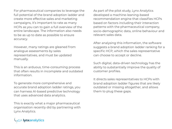For pharmaceutical companies to leverage the full potential of the brand adoption ladder and create more effective sales and marketing campaigns, it's important to rate as many HCPs as you can to gain a full overview of the entire landscape. The information also needs to be as up to date as possible to ensure accuracy.

However, many ratings are gleaned from analogue assessments by sales representatives, and must be updated manually.

This is an arduous, time-consuming process that often results in incomplete and outdated information.

To generate more comprehensive and accurate brand adoption ladder ratings, you can harness AI-based predictive technology that uses advanced data analytics.

This is exactly what a major pharmaceutical organisation recently did by partnering with Lynx Analytics.

As part of the pilot study, Lynx Analytics developed a machine-leaning-based recommendation engine that classifies HCPs based on factors including their interaction patterns with the pharmaceutical company, socio-demographic data, online behaviour and relevant sales data.

After analysing this information, the software suggests a brand adoption ladder ranking for a specific HCP, which the sales representative can choose to accept or decline.

Such digital, data-driven technology has the ability to substantially improve the quality of customer profiles.

It directs sales representatives to HCPs with brand adoption ladder figures that are likely outdated or missing altogether, and allows them to plug these gaps.

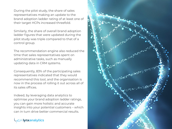During the pilot study, the share of sales representatives making an update to the brand adoption ladder rating of at least one of their target HCPs increased threefold.

Similarly, the share of overall brand adoption ladder figures that were updated during the pilot study was triple compared to that of a control group.

The recommendation engine also reduced the time that sales representatives spent on administrative tasks, such as manually updating data in CRM systems.

Consequently, 83% of the participating sales representatives indicated that they would recommend this tool, and the organisation is now in the process of rolling it out across all of its sales offices.

Indeed, by leveraging data analytics to optimise your brand adoption ladder ratings, you can gain more holistic and accurate insights into your potential customers – which can in turn drive better commercial results.



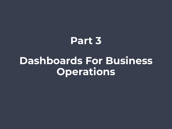# **Part 3 Dashboards For Business Operations**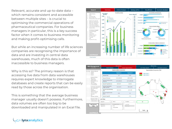Relevant, accurate and up-to-date data – which remains consistent and accessible between multiple sites – is crucial to optimising the commercial operations of pharmaceutical companies. For business managers in particular, this is a key success factor when it comes to business monitoring and making profit-optimising calls.

But while an increasing number of life sciences companies are recognising the importance of data and are investing in central data warehouses, much of this data is often inaccessible to business managers.

Why is this so? The primary reason is that accessing live data from data warehouses requires expert knowledge to interrogate databases and create reports that can be easily read by those across the organisation.

This is something that the average business manager usually doesn't possess. Furthermore, data volumes are often too big to be downloaded and manipulated in an Excel file.





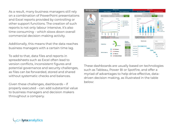As a result, many business managers still rely on a combination of PowerPoint presentations and Excel reports provided by controlling or other support functions. The creation of such reports is not only labour intensive, it's also time consuming – which slows down overall commercial decision-making activity.

Additionally, this means that the data reaches business managers with a certain time lag.

To add to that, data files and reports in spreadsheets such as Excel often lead to version conflicts, inconsistent figures and potential governance and security challenges, as files can be forwarded, stored and shared without systematic checks and balances.

Given these challenges, dashboards – if properly executed – can add substantial value to business managers and decision makers throughout a company.



These dashboards are usually based on technologies such as Tableau, Power BI or Spotfire, and offer a myriad of advantages to help drive effective, datadriven decision making, as illustrated in the table below:

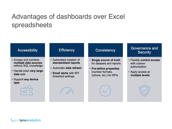### Advantages of dashboards over Excel spreadsheets

#### **Accessibility**

- Access and combine multiple data sources without SQL knowledge
- Handle even very large data sets
- · Support any device type



#### **Efficiency**

- Automated creation of standardized reports
- · Automatic data refresh
- Email alerts with KPI threshold settings

#### Consistency

- · Single source of truth for datasets and reports
- Pre-define properties (number formats, colours, etc.) for KPIs

#### Governance and **Security**

- · Flexibly control access with custom authorization
- Apply access at multiple levels



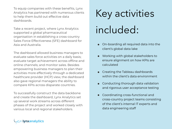To equip companies with these benefits, Lynx Analytics has partnered with numerous clients to help them build out effective data dashboards.

Take a recent project, where Lynx Analytics supported a global pharmaceutical organisation in establishing a cross-country Sales Force Effectiveness (SFE) dashboard for Asia and Australia.

The dashboard allowed business managers to evaluate sales force activities on a daily basis; evaluate target achievement across offline and online channels; and monitor sales. Besides empowering business managers to plan their activities more effectively through a dedicated healthcare provider (HCP) view, the dashboard also gave regional managers the ability to compare KPIs across disparate countries.

To successfully construct the data backbone and create the dashboard, Lynx Analytics set up several work streams across different phases of the project and worked closely with various local and regional stakeholders.

# Key activities included:

- **•** On-boarding all required data into the client's global data lake
- **•** Working with global stakeholders to ensure alignment on how KPIs are calculated
- **•** Creating the Tableau dashboards within the client's data environment
- **•** Conducting thorough data validation and rigorous user acceptance testing
- **•** Coordinating cross-functional and cross-country project teams consisting of the client's internal IT experts and data engineering staff

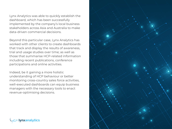Lynx Analytics was able to quickly establish the dashboard, which has been successfully implemented by the company's local business stakeholders across Asia and Australia to make data-driven commercial decisions.

Beyond this particular case, Lynx Analytics has worked with other clients to create dashboards that track and display the results of awareness, trial and usage studies over time; as well as those that summarise HCP-related information including recent publications, conference participations and online activities.

Indeed, be it gaining a more holistic understanding of HCP behaviour or better monitoring cross-country sales force activities, well-executed dashboards can equip business managers with the necessary tools to enact revenue-optimising decisions.



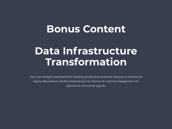## **Bonus Content**

## **Data Infrastructure Transformation**

How Lynx Analytics partnered with a leading global pharmaceutical company to overhaul its legacy data systems, thereby empowering it to improve its customer engagement and optimise its commercial agenda.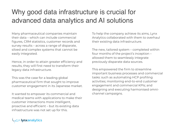### Why good data infrastructure is crucial for advanced data analytics and AI solutions

Many pharmaceutical companies maintain their data – which can include commercial figures, CRM statistics, customer records and survey results – across a range of disparate, siloed and complex systems that cannot be easily integrated.

Hence, in order to attain greater efficiency and results, they will first need to transform their legacy data infrastructure.

This was the case for a leading global pharmaceutical firm that sought to improve customer engagement in its Japanese market.

It wanted to empower its commercial and medical teams with applications to make their customer interactions more intelligent, proactive and efficient – but its existing data infrastructure was not set up for this.

To help the company achieve its aims, Lynx Analytics collaborated with them to overhaul their existing data infrastructure.

The new, tailored system – completed within four months of the project's inception – allowed them to seamlessly integrate previously disparate data sources.

This empowered the firm to streamline important business processes and commercial tasks: such as automating HCP profiling activities; monitoring end-to-end customer engagement and commercial KPIs; and designing and executing harmonised omnichannel campaigns.

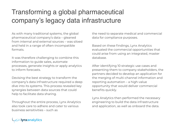## Transforming a global pharmaceutical company's legacy data infrastructure

As with many traditional systems, the global pharmaceutical company's data – gleaned from internal and external sources – was siloed and held in a range of often-incompatible formats.

It was therefore challenging to combine this information to guide sales, automate processes, generate insights or apply analytics to inform forecasts.

Devising the best strategy to transform the company's data infrastructure required a deep dive into its systems. This process revealed key synergies between data sources that could help to facilitate data sharing.

Throughout the entire process, Lynx Analytics also took care to adhere and cater to various business sensitivities – such as

the need to separate medical and commercial data for compliance purposes.

Based on these findings, Lynx Analytics evaluated the commercial opportunities that could arise from using an integrated, master database.

After identifying 10 strategic use cases and presenting them to company stakeholders, the partners decided to develop an application for the merging of multi-channel information and reporting automation – a high-value opportunity that would deliver commercial benefits quickly.

Lynx Analytics then performed the necessary engineering to build the data infrastructure and application, as well as onboard the data.

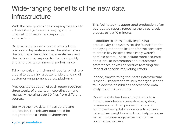## Wide-ranging benefits of the new data infrastructure

With the new system, the company was able to achieve its objectives of merging multichannel information and reporting automation.

By integrating a vast amount of data from previously disparate sources, the system gave the company the ability to generate new and deeper insights, respond to changes quickly and improve its commercial performance.

Take monthly multi-channel reports, which are crucial to obtaining a better understanding of customer engagement across platforms.

Previously, production of each report required three weeks of cross-team coordination and manually merging over 30 files from different sources.

But with the new data infrastructure and application, the relevant data could be integrated into a single environment.



This facilitated the automated production of an aggregated report, reducing the three-week process to just 10 minutes.

In addition to dramatically improving productivity, the system set the foundation for deploying other applications for the company to obtain key insights that simply weren't possible before. These include more accurate and granular information about customer preferences, as well as metrics revealing the impact of specific marketing efforts.

Indeed, transforming their data infrastructure is that all-important first step for organisations to unlock the possibilities of advanced data analytics and AI solutions.

Once the data has been integrated into a holistic, seamless and easy-to-use system, businesses can then proceed to draw on cutting-edge digital applications to achieve data-driven insights – which can help to power better customer engagement and drive commercial success.